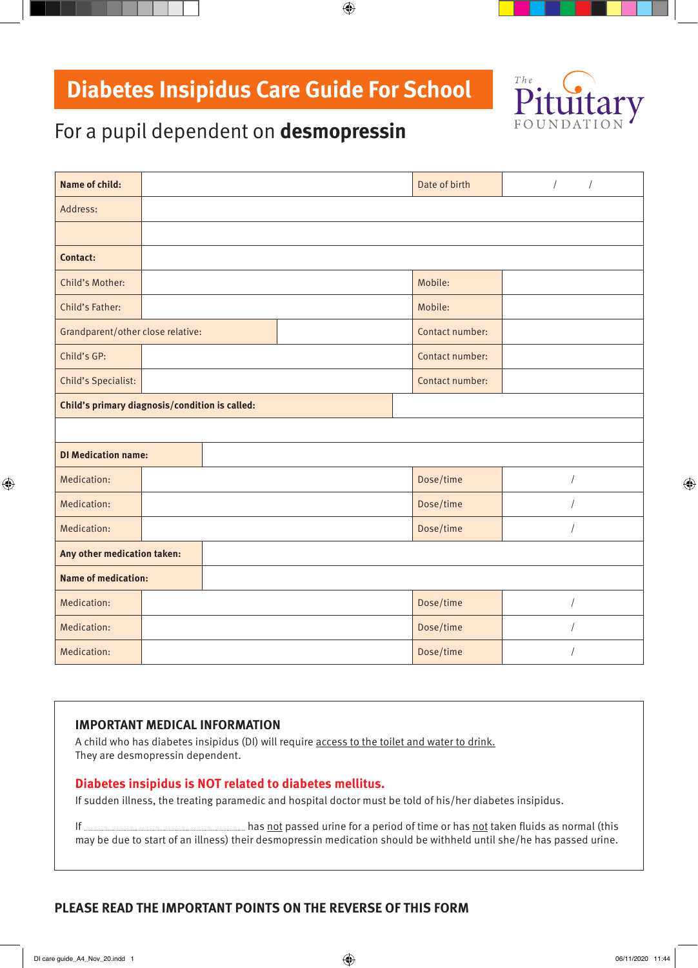# **Diabetes Insipidus Care Guide For School**



## For a pupil dependent on **desmopressin**

| <b>Name of child:</b>                          |  |  |  | Date of birth   | $\sqrt{2}$<br>$\overline{1}$ |
|------------------------------------------------|--|--|--|-----------------|------------------------------|
| Address:                                       |  |  |  |                 |                              |
|                                                |  |  |  |                 |                              |
| Contact:                                       |  |  |  |                 |                              |
| Child's Mother:                                |  |  |  | Mobile:         |                              |
| Child's Father:                                |  |  |  | Mobile:         |                              |
| Grandparent/other close relative:              |  |  |  | Contact number: |                              |
| Child's GP:                                    |  |  |  | Contact number: |                              |
| <b>Child's Specialist:</b>                     |  |  |  | Contact number: |                              |
| Child's primary diagnosis/condition is called: |  |  |  |                 |                              |
|                                                |  |  |  |                 |                              |
| <b>DI Medication name:</b>                     |  |  |  |                 |                              |
| Medication:                                    |  |  |  | Dose/time       | $\sqrt{ }$                   |
| Medication:                                    |  |  |  | Dose/time       |                              |
| Medication:                                    |  |  |  | Dose/time       | $\sqrt{2}$                   |
| Any other medication taken:                    |  |  |  |                 |                              |
| <b>Name of medication:</b>                     |  |  |  |                 |                              |
| Medication:                                    |  |  |  | Dose/time       |                              |
| Medication:                                    |  |  |  | Dose/time       |                              |
|                                                |  |  |  |                 |                              |

 $\bigoplus$ 

#### **IMPORTANT MEDICAL INFORMATION**

A child who has diabetes insipidus (DI) will require access to the toilet and water to drink. They are desmopressin dependent.

#### **Diabetes insipidus is NOT related to diabetes mellitus.**

If sudden illness, the treating paramedic and hospital doctor must be told of his/her diabetes insipidus.

If **has not passed urine for a period of time or has not taken fluids as normal (this** may be due to start of an illness) their desmopressin medication should be withheld until she/he has passed urine.

### **PLEASE READ THE IMPORTANT POINTS ON THE REVERSE OF THIS FORM**

 $\bigoplus$ 

 $\bigoplus$